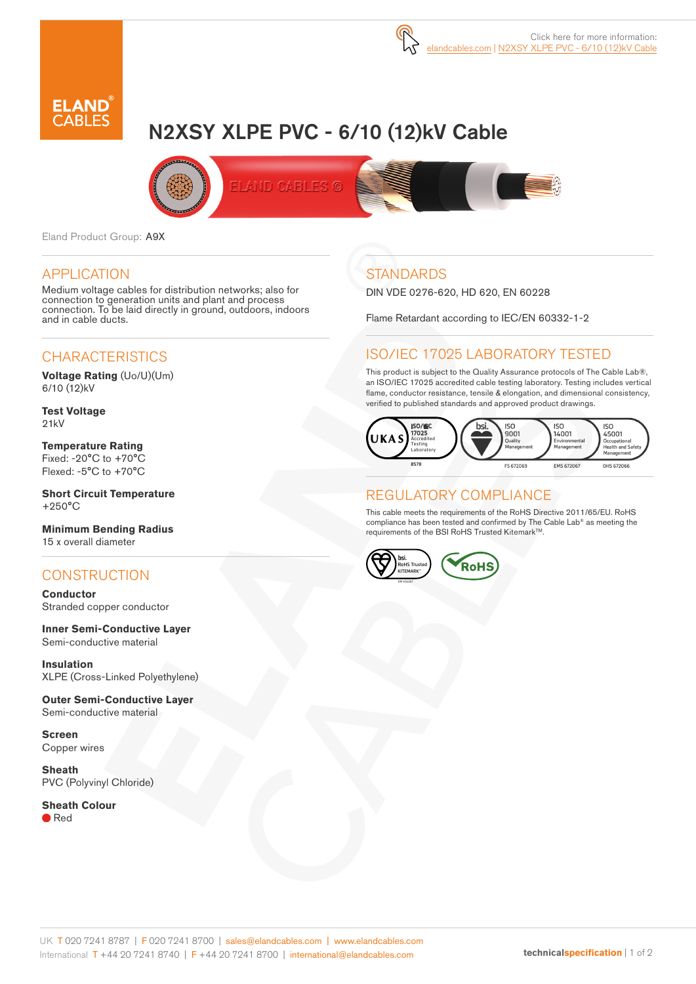

# N2XSY XLPE PVC - 6/10 (12)kV Cable



Eland Product Group: A9X

#### APPLICATION

Medium voltage cables for distribution networks; also for connection to generation units and plant and process connection. To be laid directly in ground, outdoors, indoors and in cable ducts.

### **CHARACTERISTICS**

**Voltage Rating** (Uo/U)(Um) 6/10 (12)kV

**Test Voltage** 21kV

**Temperature Rating** Fixed: -20°C to +70°C Flexed: -5°C to +70°C

**Short Circuit Temperature** +250°C

**Minimum Bending Radius**  15 x overall diameter

### **CONSTRUCTION**

**Conductor** Stranded copper conductor

**Inner Semi-Conductive Layer** Semi-conductive material

**Insulation** XLPE (Cross-Linked Polyethylene)

**Outer Semi-Conductive Layer**  Semi-conductive material

**Screen** Copper wires

**Sheath** PVC (Polyvinyl Chloride)

**Sheath Colour** Red

## **STANDARDS**

DIN VDE 0276-620, HD 620, EN 60228

Flame Retardant according to IEC/EN 60332-1-2

### ISO/IEC 17025 LABORATORY TESTED

This product is subject to the Quality Assurance protocols of The Cable Lab®, an ISO/IEC 17025 accredited cable testing laboratory. Testing includes vertical flame, conductor resistance, tensile & elongation, and dimensional consistency, verified to published standards and approved product drawings.



#### REGULATORY COMPLIANCE

This cable meets the requirements of the RoHS Directive 2011/65/EU. RoHS compliance has been tested and confirmed by The Cable Lab® as meeting the requirements of the BSI RoHS Trusted Kitemark™.